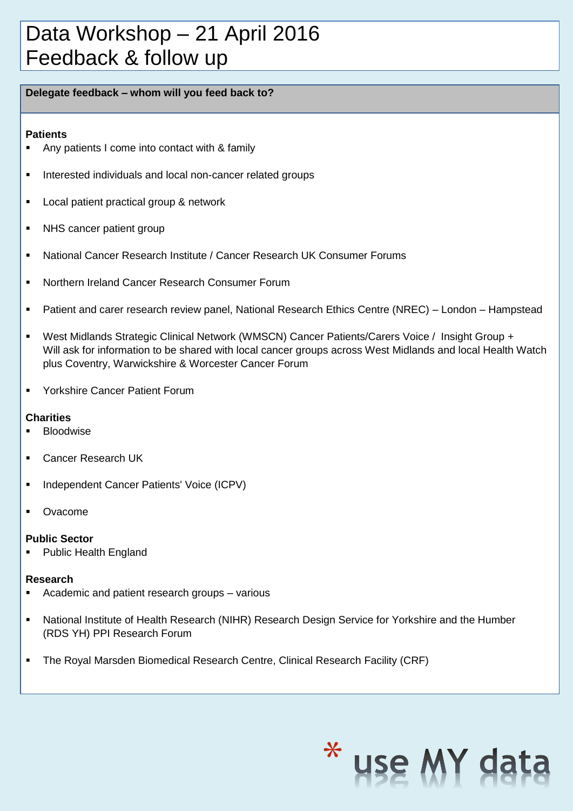### Data Workshop – 21 April 2016 Feedback & follow up

#### **Delegate feedback – whom will you feed back to?**

#### **Patients**

- Any patients I come into contact with & family
- **Interested individuals and local non-cancer related groups**
- **Local patient practical group & network**
- NHS cancer patient group
- National Cancer Research Institute / Cancer Research UK Consumer Forums
- **Northern Ireland Cancer Research Consumer Forum**
- Patient and carer research review panel, National Research Ethics Centre (NREC) London Hampstead
- West Midlands Strategic Clinical Network (WMSCN) Cancer Patients/Carers Voice / Insight Group + Will ask for information to be shared with local cancer groups across West Midlands and local Health Watch plus Coventry, Warwickshire & Worcester Cancer Forum
- **Yorkshire Cancer Patient Forum**

#### **Charities**

- **Bloodwise**
- **Cancer Research UK**
- **Independent Cancer Patients' Voice (ICPV)**
- Ovacome

#### **Public Sector**

Public Health England

#### **Research**

- Academic and patient research groups various
- National Institute of Health Research (NIHR) Research Design Service for Yorkshire and the Humber (RDS YH) PPI Research Forum
- The Royal Marsden Biomedical Research Centre, Clinical Research Facility (CRF)

## \* use MY da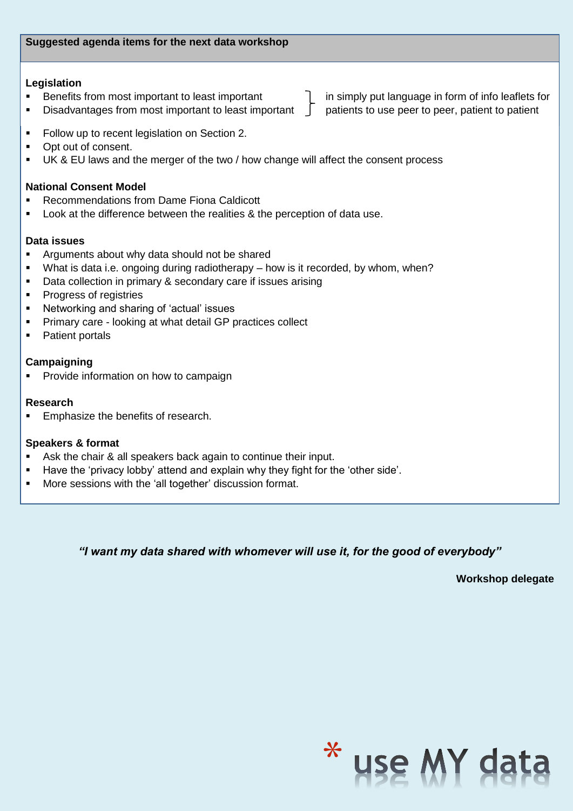#### **Legislation**

- **Benefits from most important to least important**
- $\blacksquare$  Disadvantages from most important to least important  $\blacksquare$

in simply put language in form of info leaflets for patients to use peer to peer, patient to patient

- Follow up to recent legislation on Section 2.
- Opt out of consent.
- UK & EU laws and the merger of the two / how change will affect the consent process

#### **National Consent Model**

- Recommendations from Dame Fiona Caldicott
- Look at the difference between the realities & the perception of data use.

#### **Data issues**

- Arguments about why data should not be shared
- What is data i.e. ongoing during radiotherapy how is it recorded, by whom, when?
- Data collection in primary & secondary care if issues arising
- Progress of registries
- Networking and sharing of 'actual' issues
- **Primary care looking at what detail GP practices collect**
- Patient portals

#### **Campaigning**

Provide information on how to campaign

#### **Research**

**Emphasize the benefits of research.** 

#### **Speakers & format**

- Ask the chair & all speakers back again to continue their input.
- Have the 'privacy lobby' attend and explain why they fight for the 'other side'.
- **More sessions with the 'all together' discussion format.**

*"I want my data shared with whomever will use it, for the good of everybody"*

**Workshop delegate**

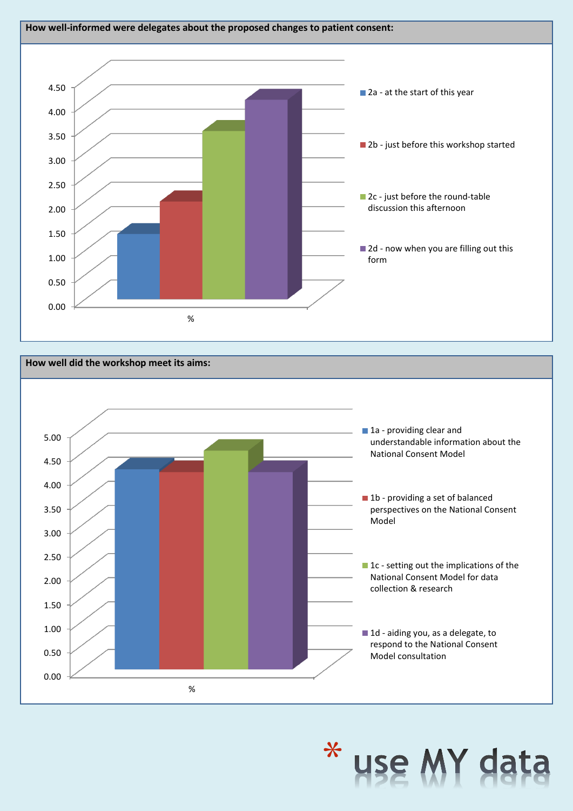



# \* use MY da